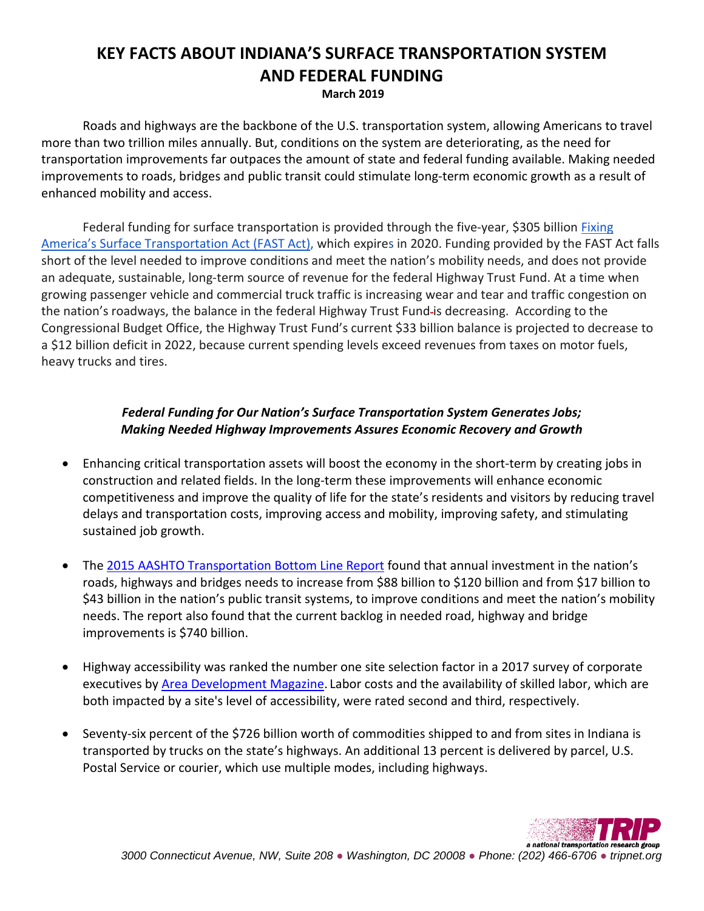## **KEY FACTS ABOUT INDIANA'S SURFACE TRANSPORTATION SYSTEM AND FEDERAL FUNDING**

**March 2019**

Roads and highways are the backbone of the U.S. transportation system, allowing Americans to travel more than two trillion miles annually. But, conditions on the system are deteriorating, as the need for transportation improvements far outpaces the amount of state and federal funding available. Making needed improvements to roads, bridges and public transit could stimulate long-term economic growth as a result of enhanced mobility and access.

Federal funding for surface transportation is provided through the five-year, \$305 billion Fixing [America's Surface Transportation Act \(FAST Act\),](https://www.congress.gov/114/bills/hr22/BILLS-114hr22enr.pdf) which expires in 2020. Funding provided by the FAST Act falls short of the level needed to improve conditions and meet the nation's mobility needs, and does not provide an adequate, sustainable, long-term source of revenue for the federal Highway Trust Fund. At a time when growing passenger vehicle and commercial truck traffic is increasing wear and tear and traffic congestion on the nation's roadways, the balance in the federal Highway Trust Fund is decreasing. According to the Congressional Budget Office, the Highway Trust Fund's current \$33 billion balance is projected to decrease to a \$12 billion deficit in 2022, because current spending levels exceed revenues from taxes on motor fuels, heavy trucks and tires.

## *Federal Funding for Our Nation's Surface Transportation System Generates Jobs; Making Needed Highway Improvements Assures Economic Recovery and Growth*

- Enhancing critical transportation assets will boost the economy in the short-term by creating jobs in construction and related fields. In the long-term these improvements will enhance economic competitiveness and improve the quality of life for the state's residents and visitors by reducing travel delays and transportation costs, improving access and mobility, improving safety, and stimulating sustained job growth.
- The [2015 AASHTO Transportation Bottom Line Report](http://bottomline.transportation.org/Documents/Bottom%20Line%202015%20Executuve%20Version%20FINAL.pdf) found that annual investment in the nation's roads, highways and bridges needs to increase from \$88 billion to \$120 billion and from \$17 billion to \$43 billion in the nation's public transit systems, to improve conditions and meet the nation's mobility needs. The report also found that the current backlog in needed road, highway and bridge improvements is \$740 billion.
- Highway accessibility was ranked the number one site selection factor in a 2017 survey of corporate executives by **Area Development Magazine**. Labor costs and the availability of skilled labor, which are both impacted by a site's level of accessibility, were rated second and third, respectively.
- Seventy-six percent of the \$726 billion worth of commodities shipped to and from sites in Indiana is transported by trucks on the state's highways. An additional 13 percent is delivered by parcel, U.S. Postal Service or courier, which use multiple modes, including highways.